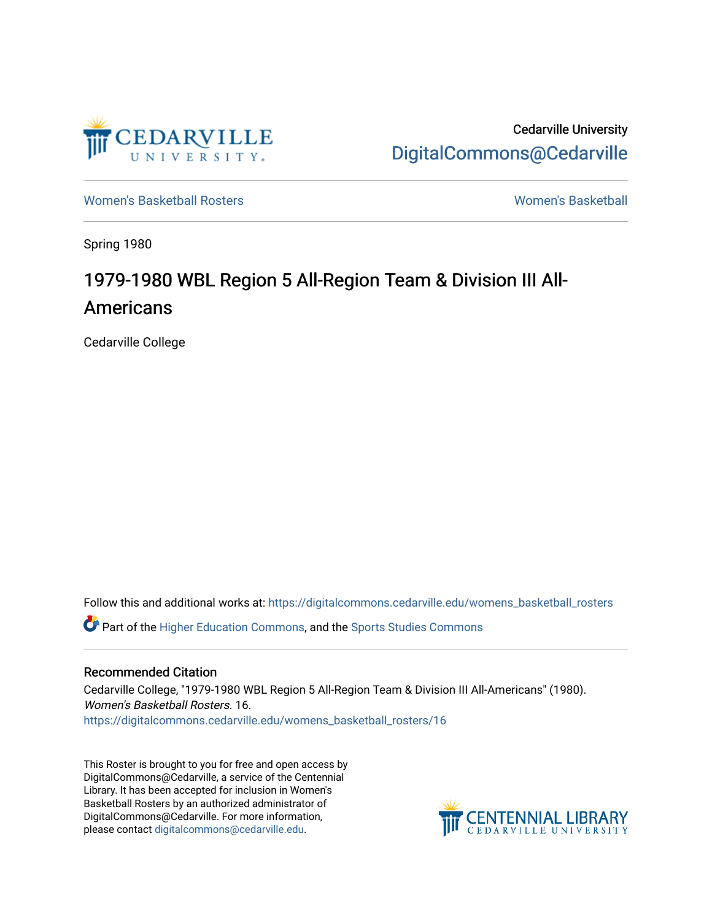

Cedarville University [DigitalCommons@Cedarville](https://digitalcommons.cedarville.edu/) 

[Women's Basketball Rosters](https://digitalcommons.cedarville.edu/womens_basketball_rosters) [Women's Basketball](https://digitalcommons.cedarville.edu/womens_basketball) 

Spring 1980

## 1979-1980 WBL Region 5 All-Region Team & Division III All-Americans

Cedarville College

Follow this and additional works at: [https://digitalcommons.cedarville.edu/womens\\_basketball\\_rosters](https://digitalcommons.cedarville.edu/womens_basketball_rosters?utm_source=digitalcommons.cedarville.edu%2Fwomens_basketball_rosters%2F16&utm_medium=PDF&utm_campaign=PDFCoverPages) 

Part of the [Higher Education Commons,](http://network.bepress.com/hgg/discipline/1245?utm_source=digitalcommons.cedarville.edu%2Fwomens_basketball_rosters%2F16&utm_medium=PDF&utm_campaign=PDFCoverPages) and the [Sports Studies Commons](http://network.bepress.com/hgg/discipline/1198?utm_source=digitalcommons.cedarville.edu%2Fwomens_basketball_rosters%2F16&utm_medium=PDF&utm_campaign=PDFCoverPages) 

## Recommended Citation

Cedarville College, "1979-1980 WBL Region 5 All-Region Team & Division III All-Americans" (1980). Women's Basketball Rosters. 16. [https://digitalcommons.cedarville.edu/womens\\_basketball\\_rosters/16](https://digitalcommons.cedarville.edu/womens_basketball_rosters/16?utm_source=digitalcommons.cedarville.edu%2Fwomens_basketball_rosters%2F16&utm_medium=PDF&utm_campaign=PDFCoverPages) 

This Roster is brought to you for free and open access by DigitalCommons@Cedarville, a service of the Centennial Library. It has been accepted for inclusion in Women's Basketball Rosters by an authorized administrator of DigitalCommons@Cedarville. For more information, please contact [digitalcommons@cedarville.edu](mailto:digitalcommons@cedarville.edu).